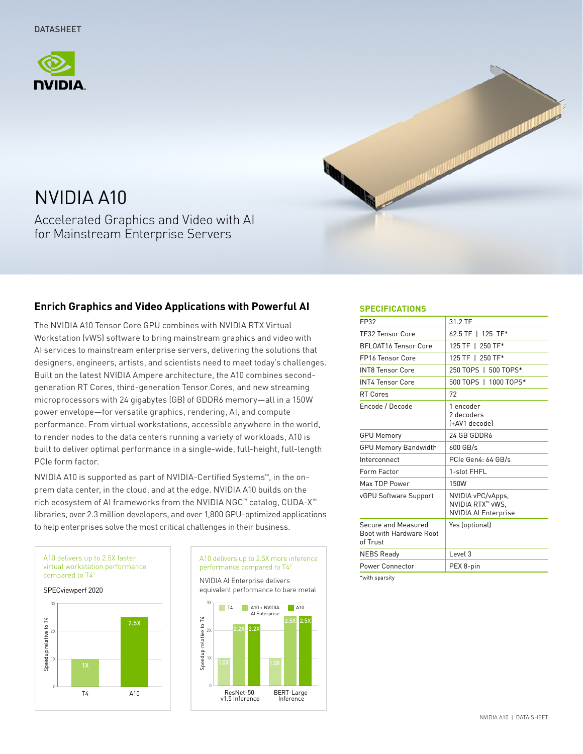



# NVIDIA A10

Accelerated Graphics and Video with AI for Mainstream Enterprise Servers

# **Enrich Graphics and Video Applications with Powerful AI**

The NVIDIA A10 Tensor Core GPU combines with NVIDIA RTX Virtual Workstation (vWS) software to bring mainstream graphics and video with AI services to mainstream enterprise servers, delivering the solutions that designers, engineers, artists, and scientists need to meet today's challenges. Built on the latest NVIDIA Ampere architecture, the A10 combines secondgeneration RT Cores, third-generation Tensor Cores, and new streaming microprocessors with 24 gigabytes (GB) of GDDR6 memory—all in a 150W power envelope—for versatile graphics, rendering, AI, and compute performance. From virtual workstations, accessible anywhere in the world, to render nodes to the data centers running a variety of workloads, A10 is built to deliver optimal performance in a single-wide, full-height, full-length PCIe form factor.

NVIDIA A10 is supported as part of NVIDIA-Certified Systems™, in the onprem data center, in the cloud, and at the edge. NVIDIA A10 builds on the rich ecosystem of AI frameworks from the NVIDIA NGC™ catalog, CUDA-X™ libraries, over 2.3 million developers, and over 1,800 GPU-optimized applications to help enterprises solve the most critical challenges in their business.





#### **SPECIFICATIONS**

| FP32                                                       | 31.2 TF                                                              |
|------------------------------------------------------------|----------------------------------------------------------------------|
| <b>TF32 Tensor Core</b>                                    | 62.5 TF   125 TF*                                                    |
| <b>BFLOAT16 Tensor Core</b>                                | 125 TF   250 TF*                                                     |
| <b>FP16 Tensor Core</b>                                    | 125 TF   250 TF*                                                     |
| <b>INT8 Tensor Core</b>                                    | 250 TOPS   500 TOPS*                                                 |
| <b>INT4 Tensor Core</b>                                    | 500 TOPS   1000 TOPS*                                                |
| <b>RT Cores</b>                                            | 72                                                                   |
| Encode / Decode                                            | 1 encoder<br>2 decoders<br>(+AV1 decode)                             |
| <b>GPU Memory</b>                                          | 24 GB GDDR6                                                          |
| <b>GPU Memory Bandwidth</b>                                | 600 GB/s                                                             |
| Interconnect                                               | PCIe Gen4: 64 GB/s                                                   |
| Form Factor                                                | 1-slot FHFL                                                          |
| Max TDP Power                                              | 150W                                                                 |
| vGPU Software Support                                      | NVIDIA vPC/vApps,<br>NVIDIA RTX™ vWS,<br><b>NVIDIA AI Enterprise</b> |
| Secure and Measured<br>Boot with Hardware Root<br>of Trust | Yes (optional)                                                       |
| <b>NEBS Ready</b>                                          | Level 3                                                              |
| Power Connector                                            | PEX 8-pin                                                            |
|                                                            |                                                                      |

\*with sparsity